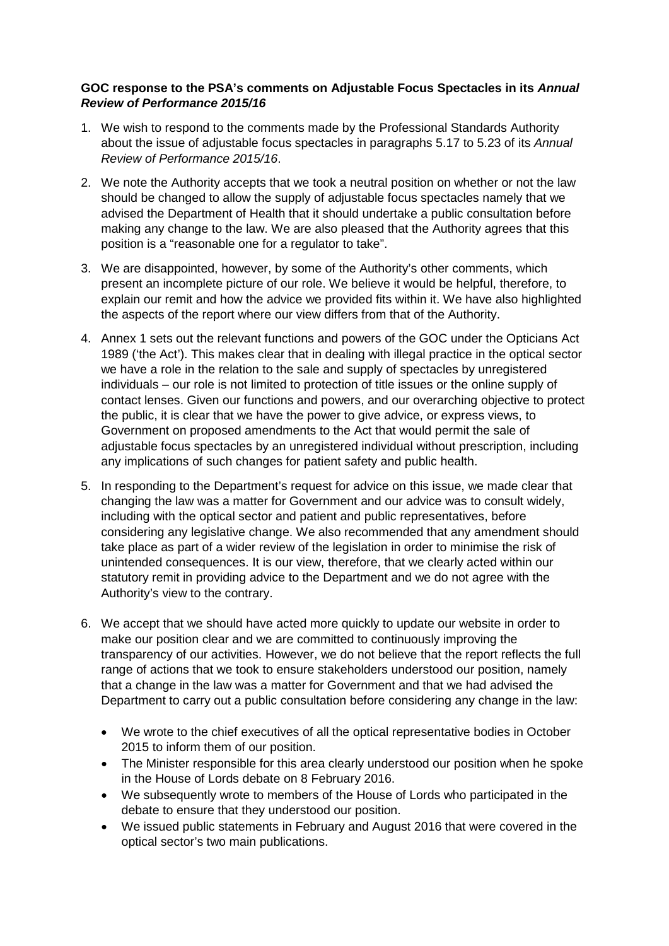## **GOC response to the PSA's comments on Adjustable Focus Spectacles in its** *Annual Review of Performance 2015/16*

- 1. We wish to respond to the comments made by the Professional Standards Authority about the issue of adjustable focus spectacles in paragraphs 5.17 to 5.23 of its *Annual Review of Performance 2015/16*.
- 2. We note the Authority accepts that we took a neutral position on whether or not the law should be changed to allow the supply of adjustable focus spectacles namely that we advised the Department of Health that it should undertake a public consultation before making any change to the law. We are also pleased that the Authority agrees that this position is a "reasonable one for a regulator to take".
- 3. We are disappointed, however, by some of the Authority's other comments, which present an incomplete picture of our role. We believe it would be helpful, therefore, to explain our remit and how the advice we provided fits within it. We have also highlighted the aspects of the report where our view differs from that of the Authority.
- 4. Annex 1 sets out the relevant functions and powers of the GOC under the Opticians Act 1989 ('the Act'). This makes clear that in dealing with illegal practice in the optical sector we have a role in the relation to the sale and supply of spectacles by unregistered individuals – our role is not limited to protection of title issues or the online supply of contact lenses. Given our functions and powers, and our overarching objective to protect the public, it is clear that we have the power to give advice, or express views, to Government on proposed amendments to the Act that would permit the sale of adjustable focus spectacles by an unregistered individual without prescription, including any implications of such changes for patient safety and public health.
- 5. In responding to the Department's request for advice on this issue, we made clear that changing the law was a matter for Government and our advice was to consult widely, including with the optical sector and patient and public representatives, before considering any legislative change. We also recommended that any amendment should take place as part of a wider review of the legislation in order to minimise the risk of unintended consequences. It is our view, therefore, that we clearly acted within our statutory remit in providing advice to the Department and we do not agree with the Authority's view to the contrary.
- 6. We accept that we should have acted more quickly to update our website in order to make our position clear and we are committed to continuously improving the transparency of our activities. However, we do not believe that the report reflects the full range of actions that we took to ensure stakeholders understood our position, namely that a change in the law was a matter for Government and that we had advised the Department to carry out a public consultation before considering any change in the law:
	- We wrote to the chief executives of all the optical representative bodies in October 2015 to inform them of our position.
	- The Minister responsible for this area clearly understood our position when he spoke in the House of Lords debate on 8 February 2016.
	- We subsequently wrote to members of the House of Lords who participated in the debate to ensure that they understood our position.
	- We issued public statements in February and August 2016 that were covered in the optical sector's two main publications.